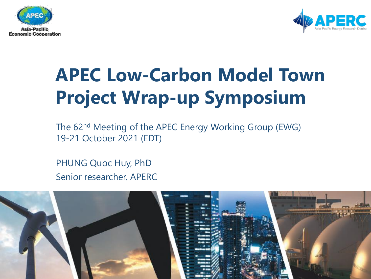



# **APEC Low-Carbon Model Town Project Wrap-up Symposium**

The 62nd Meeting of the APEC Energy Working Group (EWG) 19-21 October 2021 (EDT)

PHUNG Quoc Huy, PhD Senior researcher, APERC

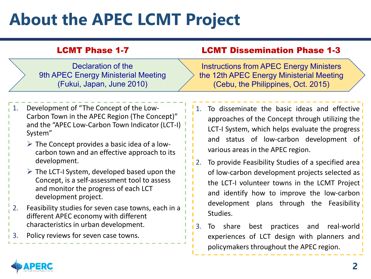# **About the APEC LCMT Project**

| <b>LCMT Phase 1-7</b>                                                                  | <b>LCMT Dissemination Phase 1-3</b>                                                                                              |
|----------------------------------------------------------------------------------------|----------------------------------------------------------------------------------------------------------------------------------|
| Declaration of the<br>9th APEC Energy Ministerial Meeting<br>(Fukui, Japan, June 2010) | <b>Instructions from APEC Energy Ministers</b><br>the 12th APEC Energy Ministerial Meeting<br>(Cebu, the Philippines, Oct. 2015) |

- 1. Development of "The Concept of the Low-Carbon Town in the APEC Region (The Concept)" and the "APEC Low-Carbon Town Indicator (LCT-I) System"
	- $\triangleright$  The Concept provides a basic idea of a lowcarbon town and an effective approach to its development.
	- $\triangleright$  The LCT-I System, developed based upon the Concept, is a self-assessment tool to assess and monitor the progress of each LCT development project.
- 2. Feasibility studies for seven case towns, each in a different APEC economy with different characteristics in urban development.
- 3. Policy reviews for seven case towns.
- 1. To disseminate the basic ideas and effective approaches of the Concept through utilizing the LCT-I System, which helps evaluate the progress and status of low-carbon development of various areas in the APEC region.
- 2. To provide Feasibility Studies of a specified area of low-carbon development projects selected as the LCT-I volunteer towns in the LCMT Project and identify how to improve the low-carbon development plans through the Feasibility Studies.
- 3. To share best practices and real-world experiences of LCT design with planners and policymakers throughout the APEC region.

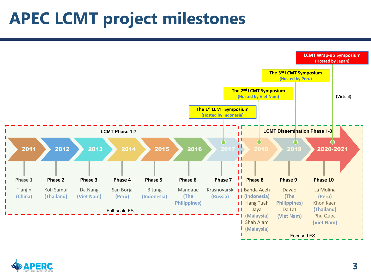### **APEC LCMT project milestones**



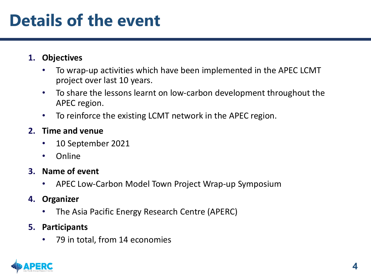### **Details of the event**

#### **1. Objectives**

- To wrap-up activities which have been implemented in the APEC LCMT project over last 10 years.
- To share the lessons learnt on low-carbon development throughout the APEC region.
- To reinforce the existing LCMT network in the APEC region.

#### **2. Time and venue**

- 10 September 2021
- Online

#### **3. Name of event**

• APEC Low-Carbon Model Town Project Wrap-up Symposium

#### **4. Organizer**

• The Asia Pacific Energy Research Centre (APERC)

#### **5. Participants**

• 79 in total, from 14 economies

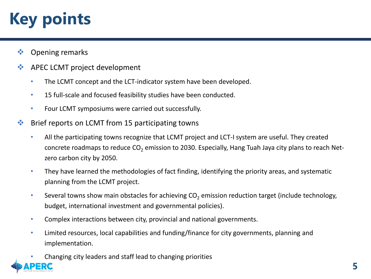# **Key points**

- Opening remarks
- **◆ APEC LCMT project development** 
	- The LCMT concept and the LCT-indicator system have been developed.
	- 15 full-scale and focused feasibility studies have been conducted.
	- Four LCMT symposiums were carried out successfully.
- $\bullet\bullet$  Brief reports on LCMT from 15 participating towns
	- All the participating towns recognize that LCMT project and LCT-I system are useful. They created concrete roadmaps to reduce CO<sub>2</sub> emission to 2030. Especially, Hang Tuah Jaya city plans to reach Netzero carbon city by 2050.
	- They have learned the methodologies of fact finding, identifying the priority areas, and systematic planning from the LCMT project.
	- Several towns show main obstacles for achieving  $CO<sub>2</sub>$  emission reduction target (include technology, budget, international investment and governmental policies).
	- Complex interactions between city, provincial and national governments.
	- Limited resources, local capabilities and funding/finance for city governments, planning and implementation.
	- Changing city leaders and staff lead to changing priorities

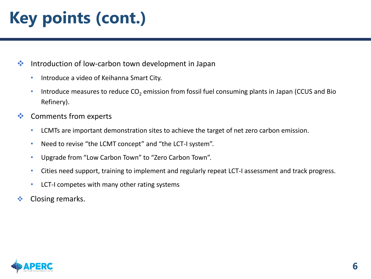# **Key points (cont.)**

**❖** Introduction of low-carbon town development in Japan

- Introduce a video of Keihanna Smart City.
- Introduce measures to reduce  $CO<sub>2</sub>$  emission from fossil fuel consuming plants in Japan (CCUS and Bio Refinery).
- **❖** Comments from experts
	- LCMTs are important demonstration sites to achieve the target of net zero carbon emission.
	- Need to revise "the LCMT concept" and "the LCT-I system".
	- Upgrade from "Low Carbon Town" to "Zero Carbon Town".
	- Cities need support, training to implement and regularly repeat LCT-I assessment and track progress.
	- LCT-I competes with many other rating systems
- Closing remarks.

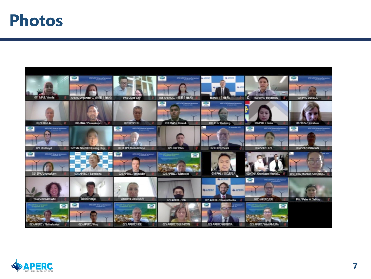### **Photos**